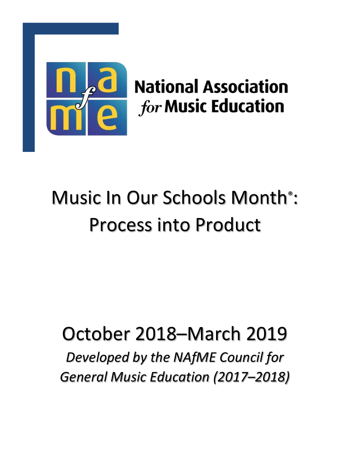

# **National Association** *for* Music Education

# Music In Our Schools Month® : Process into Product

# October 2018–March 2019

*Developed by the NAfME Council for General Music Education (2017–2018)*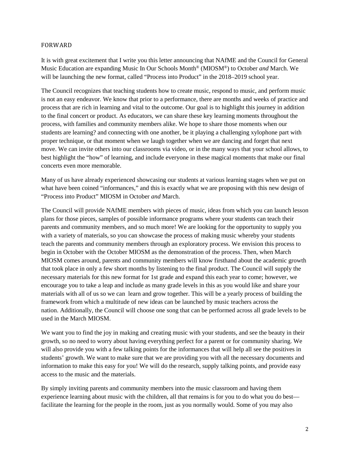#### FORWARD

It is with great excitement that I write you this letter announcing that NAfME and the Council for General Music Education are expanding Music In Our Schools Month® (MIOSM®) to October *and* March. We will be launching the new format, called "Process into Product" in the 2018–2019 school year.

The Council recognizes that teaching students how to create music, respond to music, and perform music is not an easy endeavor. We know that prior to a performance, there are months and weeks of practice and process that are rich in learning and vital to the outcome. Our goal is to highlight this journey in addition to the final concert or product. As educators, we can share these key learning moments throughout the process, with families and community members alike. We hope to share those moments when our students are learning? and connecting with one another, be it playing a challenging xylophone part with proper technique, or that moment when we laugh together when we are dancing and forget that next move. We can invite others into our classrooms via video, or in the many ways that your school allows, to best highlight the "how" of learning, and include everyone in these magical moments that make our final concerts even more memorable.

Many of us have already experienced showcasing our students at various learning stages when we put on what have been coined "informances," and this is exactly what we are proposing with this new design of "Process into Product" MIOSM in October *and* March.

The Council will provide NAfME members with pieces of music, ideas from which you can launch lesson plans for those pieces, samples of possible informance programs where your students can teach their parents and community members, and so much more! We are looking for the opportunity to supply you with a variety of materials, so you can showcase the process of making music whereby your students teach the parents and community members through an exploratory process. We envision this process to begin in October with the October MIOSM as the demonstration of the process. Then, when March MIOSM comes around, parents and community members will know firsthand about the academic growth that took place in only a few short months by listening to the final product. The Council will supply the necessary materials for this new format for 1st grade and expand this each year to come; however, we encourage you to take a leap and include as many grade levels in this as you would like and share your materials with all of us so we can learn and grow together. This will be a yearly process of building the framework from which a multitude of new ideas can be launched by music teachers across the nation. Additionally, the Council will choose one song that can be performed across all grade levels to be used in the March MIOSM.

We want you to find the joy in making and creating music with your students, and see the beauty in their growth, so no need to worry about having everything perfect for a parent or for community sharing. We will also provide you with a few talking points for the informances that will help all see the positives in students' growth. We want to make sure that we are providing you with all the necessary documents and information to make this easy for you! We will do the research, supply talking points, and provide easy access to the music and the materials.

By simply inviting parents and community members into the music classroom and having them experience learning about music with the children, all that remains is for you to do what you do best facilitate the learning for the people in the room, just as you normally would. Some of you may also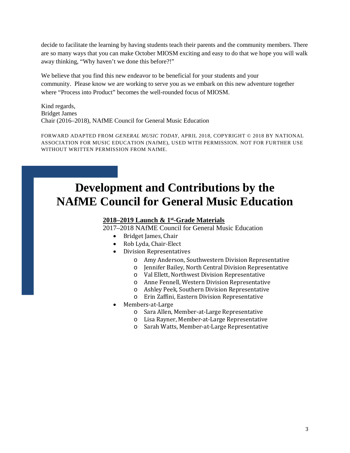decide to facilitate the learning by having students teach their parents and the community members. There are so many ways that you can make October MIOSM exciting and easy to do that we hope you will walk away thinking, "Why haven't we done this before?!"

We believe that you find this new endeavor to be beneficial for your students and your community. Please know we are working to serve you as we embark on this new adventure together where "Process into Product" becomes the well-rounded focus of MIOSM.

Kind regards, Bridget James Chair (2016–2018), NAfME Council for General Music Education

FORWARD ADAPTED FROM *GENERAL MUSIC TODAY,* APRIL 2018, COPYRIGHT © 2018 BY NATIONAL ASSOCIATION FOR MUSIC EDUCATION (NAfME), USED WITH PERMISSION. NOT FOR FURTHER USE WITHOUT WRITTEN PERMISSION FROM NAfME.

### **Development and Contributions by the NAfME Council for General Music Education**

#### **2018–2019 Launch & 1st-Grade Materials**

2017–2018 NAfME Council for General Music Education

- Bridget James, Chair
- Rob Lyda, Chair-Elect
- Division Representatives
	- o Amy Anderson, Southwestern Division Representative
	- o Jennifer Bailey, North Central Division Representative
	- o Val Ellett, Northwest Division Representative
	- o Anne Fennell, Western Division Representative
	- o Ashley Peek, Southern Division Representative
	- o Erin Zaffini, Eastern Division Representative
- Members-at-Large
	- o Sara Allen, Member-at-Large Representative
	- o Lisa Rayner, Member-at-Large Representative
	- o Sarah Watts, Member-at-Large Representative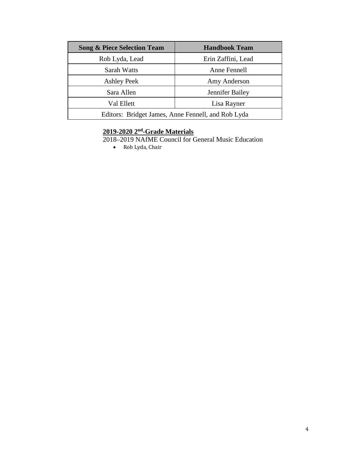| <b>Song &amp; Piece Selection Team</b>             | <b>Handbook Team</b> |
|----------------------------------------------------|----------------------|
| Rob Lyda, Lead                                     | Erin Zaffini, Lead   |
| Sarah Watts                                        | Anne Fennell         |
| <b>Ashley Peek</b>                                 | Amy Anderson         |
| Sara Allen                                         | Jennifer Bailey      |
| Val Ellett                                         | Lisa Rayner          |
| Editors: Bridget James, Anne Fennell, and Rob Lyda |                      |

#### **2019-2020 2nd-Grade Materials**

2018–2019 NAfME Council for General Music Education

• Rob Lyda, Chair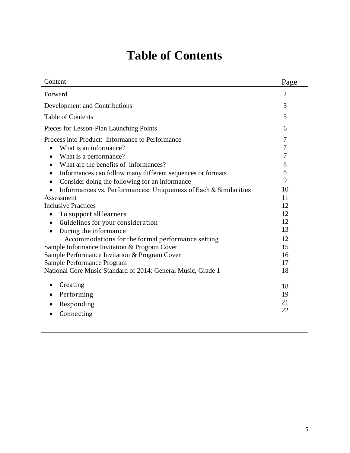## **Table of Contents**

| Content                                                         | Page           |
|-----------------------------------------------------------------|----------------|
| Forward                                                         | $\overline{2}$ |
| Development and Contributions                                   | 3              |
| <b>Table of Contents</b>                                        | 5              |
| Pieces for Lesson-Plan Launching Points                         | 6              |
| Process into Product: Informance to Performance                 | 7              |
| What is an informance?<br>$\bullet$                             | 7              |
| What is a performance?<br>$\bullet$                             | 7              |
| What are the benefits of informances?<br>$\bullet$              | 8              |
| Informances can follow many different sequences or formats      | 8              |
| Consider doing the following for an informance                  | 9              |
| Informances vs. Performances: Uniqueness of Each & Similarities | 10             |
| Assessment                                                      | 11             |
| <b>Inclusive Practices</b>                                      | 12             |
| To support all learners                                         | 12             |
| Guidelines for your consideration<br>$\bullet$                  | 12             |
| During the informance                                           | 13             |
| Accommodations for the formal performance setting               | 12             |
| Sample Informance Invitation & Program Cover                    | 15             |
| Sample Performance Invitation & Program Cover                   | 16             |
| Sample Performance Program                                      | 17             |
| National Core Music Standard of 2014: General Music, Grade 1    | 18             |
|                                                                 |                |
| Creating<br>$\bullet$                                           | 18             |
| Performing                                                      | 19             |
| Responding                                                      | 21             |
| Connecting                                                      | 22             |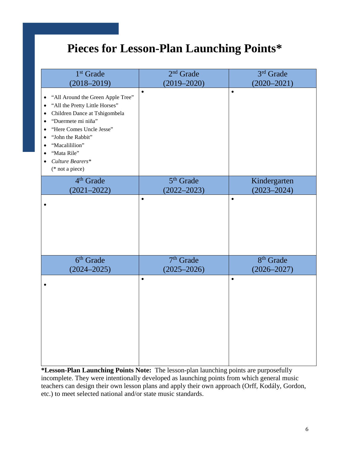### **Pieces for Lesson-Plan Launching Points\***

| 1 <sup>st</sup> Grade                                                                                                                                                                                                                                                                                                                                                      | $2nd$ Grade           | 3rd Grade             |
|----------------------------------------------------------------------------------------------------------------------------------------------------------------------------------------------------------------------------------------------------------------------------------------------------------------------------------------------------------------------------|-----------------------|-----------------------|
| $(2018 - 2019)$                                                                                                                                                                                                                                                                                                                                                            | $(2019 - 2020)$       | $(2020 - 2021)$       |
| "All Around the Green Apple Tree"<br>$\bullet$<br>"All the Pretty Little Horses"<br>$\bullet$<br>Children Dance at Tshigombela<br>$\bullet$<br>"Duermete mi niña"<br>$\bullet$<br>"Here Comes Uncle Jesse"<br>$\bullet$<br>"John the Rabbit"<br>$\bullet$<br>"Macalililion"<br>$\bullet$<br>"Mata Rile"<br>$\bullet$<br>Culture Bearers*<br>$\bullet$<br>$(* not a piece)$ | $\bullet$             | $\bullet$             |
| 4 <sup>th</sup> Grade                                                                                                                                                                                                                                                                                                                                                      | 5 <sup>th</sup> Grade | Kindergarten          |
| $(2021 - 2022)$                                                                                                                                                                                                                                                                                                                                                            | $(2022 - 2023)$       | $(2023 - 2024)$       |
|                                                                                                                                                                                                                                                                                                                                                                            | $\bullet$             | $\bullet$             |
| $6th$ Grade                                                                                                                                                                                                                                                                                                                                                                | 7 <sup>th</sup> Grade | 8 <sup>th</sup> Grade |
| $(2024 - 2025)$                                                                                                                                                                                                                                                                                                                                                            | $(2025 - 2026)$       | $(2026 - 2027)$       |
|                                                                                                                                                                                                                                                                                                                                                                            | $\bullet$             | $\bullet$             |

**\*Lesson-Plan Launching Points Note:** The lesson-plan launching points are purposefully incomplete. They were intentionally developed as launching points from which general music teachers can design their own lesson plans and apply their own approach (Orff, Kodály, Gordon, etc.) to meet selected national and/or state music standards.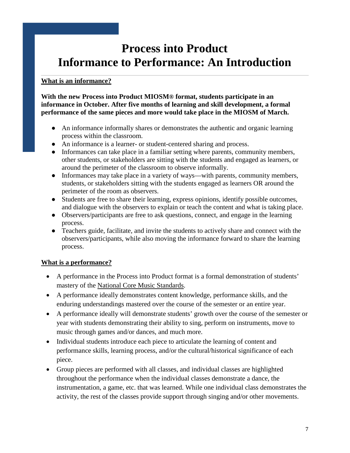### **Process into Product Informance to Performance: An Introduction**

### **What is an informance?**

**With the new Process into Product MIOSM® format, students participate in an informance in October. After five months of learning and skill development, a formal performance of the same pieces and more would take place in the MIOSM of March.** 

- An informance informally shares or demonstrates the authentic and organic learning process within the classroom.
- An informance is a learner- or student-centered sharing and process.
- Informances can take place in a familiar setting where parents, community members, other students, or stakeholders are sitting with the students and engaged as learners, or around the perimeter of the classroom to observe informally.
- Informances may take place in a variety of ways—with parents, community members, students, or stakeholders sitting with the students engaged as learners OR around the perimeter of the room as observers.
- Students are free to share their learning, express opinions, identify possible outcomes, and dialogue with the observers to explain or teach the content and what is taking place.
- Observers/participants are free to ask questions, connect, and engage in the learning process.
- Teachers guide, facilitate, and invite the students to actively share and connect with the observers/participants, while also moving the informance forward to share the learning process.

### **What is a performance?**

- A performance in the Process into Product format is a formal demonstration of students' mastery of the [National Core Music Standards.](https://nafme.org/my-classroom/standards/core-music-standards/)
- A performance ideally demonstrates content knowledge, performance skills, and the enduring understandings mastered over the course of the semester or an entire year.
- A performance ideally will demonstrate students' growth over the course of the semester or year with students demonstrating their ability to sing, perform on instruments, move to music through games and/or dances, and much more.
- Individual students introduce each piece to articulate the learning of content and performance skills, learning process, and/or the cultural/historical significance of each piece.
- Group pieces are performed with all classes, and individual classes are highlighted throughout the performance when the individual classes demonstrate a dance, the instrumentation, a game, etc. that was learned. While one individual class demonstrates the activity, the rest of the classes provide support through singing and/or other movements.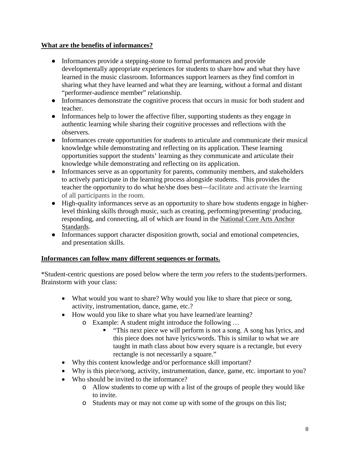### **What are the benefits of informances?**

- Informances provide a stepping-stone to formal performances and provide developmentally appropriate experiences for students to share how and what they have learned in the music classroom. Informances support learners as they find comfort in sharing what they have learned and what they are learning, without a formal and distant "performer-audience member" relationship.
- Informances demonstrate the cognitive process that occurs in music for both student and teacher.
- Informances help to lower the affective filter, supporting students as they engage in authentic learning while sharing their cognitive processes and reflections with the observers.
- Informances create opportunities for students to articulate and communicate their musical knowledge while demonstrating and reflecting on its application. These learning opportunities support the students' learning as they communicate and articulate their knowledge while demonstrating and reflecting on its application.
- Informances serve as an opportunity for parents, community members, and stakeholders to actively participate in the learning process alongside students. This provides the teacher the opportunity to do what he/she does best—facilitate and activate the learning of all participants in the room.
- High-quality informances serve as an opportunity to share how students engage in higherlevel thinking skills through music, such as creating, performing/presenting/ producing, responding, and connecting, all of which are found in the [National Core](http://nationalartsstandards.org/) Arts Anchor [Standards.](http://nationalartsstandards.org/)
- Informances support character disposition growth, social and emotional competencies, and presentation skills.

#### **Informances can follow many different sequences or formats.**

\*Student-centric questions are posed below where the term *you* refers to the students/performers. Brainstorm with your class:

- What would you want to share? Why would you like to share that piece or song, activity, instrumentation, dance, game, etc.?
- How would you like to share what you have learned/are learning?
	- o Example: A student might introduce the following …
		- **This next piece we will perform is not a song. A song has lyrics, and** this piece does not have lyrics/words. This is similar to what we are taught in math class about how every square is a rectangle, but every rectangle is not necessarily a square."
- Why this content knowledge and/or performance skill important?
- Why is this piece/song, activity, instrumentation, dance, game, etc. important to you?
- Who should be invited to the informance?
	- o Allow students to come up with a list of the groups of people they would like to invite.
	- o Students may or may not come up with some of the groups on this list;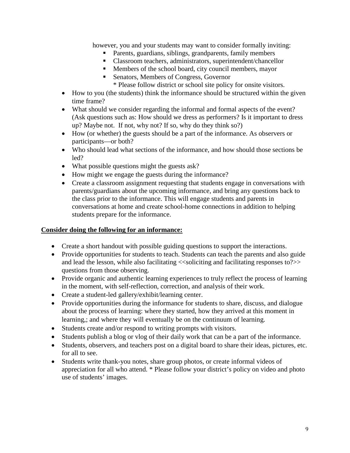however, you and your students may want to consider formally inviting:

- Parents, guardians, siblings, grandparents, family members
- Classroom teachers, administrators, superintendent/chancellor
- **Members of the school board, city council members, mayor**
- Senators, Members of Congress, Governor
	- \* Please follow district or school site policy for onsite visitors.
- How to you (the students) think the informance should be structured within the given time frame?
- What should we consider regarding the informal and formal aspects of the event? (Ask questions such as: How should we dress as performers? Is it important to dress up? Maybe not. If not, why not? If so, why do they think so?)
- How (or whether) the guests should be a part of the informance. As observers or participants—or both?
- Who should lead what sections of the informance, and how should those sections be led?
- What possible questions might the guests ask?
- How might we engage the guests during the informance?
- Create a classroom assignment requesting that students engage in conversations with parents/guardians about the upcoming informance, and bring any questions back to the class prior to the informance. This will engage students and parents in conversations at home and create school-home connections in addition to helping students prepare for the informance.

#### **Consider doing the following for an informance:**

- Create a short handout with possible guiding questions to support the interactions.
- Provide opportunities for students to teach. Students can teach the parents and also guide and lead the lesson, while also facilitating  $\ll$ soliciting and facilitating responses to?>> questions from those observing.
- Provide organic and authentic learning experiences to truly reflect the process of learning in the moment, with self-reflection, correction, and analysis of their work.
- Create a student-led gallery/exhibit/learning center.
- Provide opportunities during the informance for students to share, discuss, and dialogue about the process of learning: where they started, how they arrived at this moment in learning,; and where they will eventually be on the continuum of learning.
- Students create and/or respond to writing prompts with visitors.
- Students publish a blog or vlog of their daily work that can be a part of the informance.
- Students, observers, and teachers post on a digital board to share their ideas, pictures, etc. for all to see.
- Students write thank-you notes, share group photos, or create informal videos of appreciation for all who attend. \* Please follow your district's policy on video and photo use of students' images.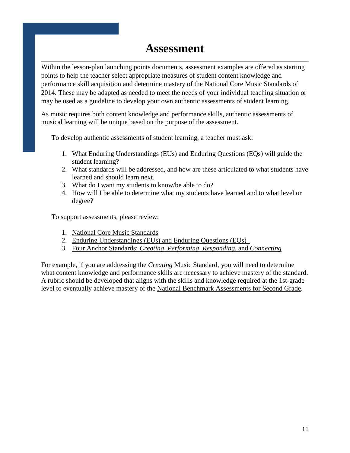### **Assessment**

Within the lesson-plan launching points documents, assessment examples are offered as starting points to help the teacher select appropriate measures of student content knowledge and performance skill acquisition and determine mastery of the [National Core Music Standards](https://nafme.org/my-classroom/standards/core-music-standards/) of 2014. These may be adapted as needed to meet the needs of your individual teaching situation or may be used as a guideline to develop your own authentic assessments of student learning.

As music requires both content knowledge and performance skills, authentic assessments of musical learning will be unique based on the purpose of the assessment.

To develop authentic assessments of student learning, a teacher must ask:

- 1. What [Enduring Understandings \(EUs\) and Enduring Questions \(EQs\)](https://nafme.org/wp-content/files/2014/06/Core-Music-Standards-EUs-EQs-Definitions.pdf) will guide the student learning?
- 2. What standards will be addressed, and how are these articulated to what students have learned and should learn next.
- 3. What do I want my students to know/be able to do?
- 4. How will I be able to determine what my students have learned and to what level or degree?

To support assessments, please review:

- 1. [National Core Music Standards](https://nafme.org/my-classroom/standards/core-music-standards/)
- 2. Enduring Understandings [\(EUs\) and Enduring Questions \(EQs\)](https://nafme.org/wp-content/files/2014/06/Core-Music-Standards-EUs-EQs-Definitions.pdf)
- 3. Four Anchor Standards: *[Creating, Performing, Responding,](http://nationalartsstandards.org/)* and *Connecting*

For example, if you are addressing the *Creating* Music Standard, you will need to determine what content knowledge and performance skills are necessary to achieve mastery of the standard. A rubric should be developed that aligns with the skills and knowledge required at the 1st-grade level to eventually achieve mastery of the [National Benchmark Assessments for Second Grade.](https://nafme.org/wp-content/files/2014/11/Grade_2_GenMus_Creating_MCA.pdf)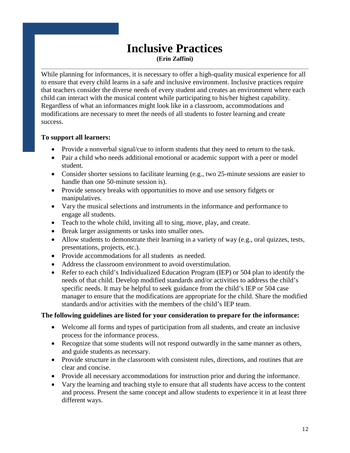### **Inclusive Practices (Erin Zaffini)**

While planning for informances, it is necessary to offer a high-quality musical experience for all to ensure that every child learns in a safe and inclusive environment. Inclusive practices require that teachers consider the diverse needs of every student and creates an environment where each child can interact with the musical content while participating to his/her highest capability. Regardless of what an informances might look like in a classroom, accommodations and modifications are necessary to meet the needs of all students to foster learning and create success.

#### **To support all learners:**

- Provide a nonverbal signal/cue to inform students that they need to return to the task.
- Pair a child who needs additional emotional or academic support with a peer or model student.
- Consider shorter sessions to facilitate learning (e.g., two 25-minute sessions are easier to handle than one 50-minute session is).
- Provide sensory breaks with opportunities to move and use sensory fidgets or manipulatives.
- Vary the musical selections and instruments in the informance and performance to engage all students.
- Teach to the whole child, inviting all to sing, move, play, and create.
- Break larger assignments or tasks into smaller ones.
- Allow students to demonstrate their learning in a variety of way (e.g., oral quizzes, tests, presentations, projects, etc.).
- Provide accommodations for all students as needed.
- Address the classroom environment to avoid overstimulation.
- Refer to each child's Individualized Education Program (IEP) or 504 plan to identify the needs of that child. Develop modified standards and/or activities to address the child's specific needs. It may be helpful to seek guidance from the child's IEP or 504 case manager to ensure that the modifications are appropriate for the child. Share the modified standards and/or activities with the members of the child's IEP team.

#### **The following guidelines are listed for your consideration to prepare for the informance:**

- Welcome all forms and types of participation from all students, and create an inclusive process for the informance process.
- Recognize that some students will not respond outwardly in the same manner as others, and guide students as necessary.
- Provide structure in the classroom with consistent rules, directions, and routines that are clear and concise.
- Provide all necessary accommodations for instruction prior and during the informance.
- Vary the learning and teaching style to ensure that all students have access to the content and process. Present the same concept and allow students to experience it in at least three different ways.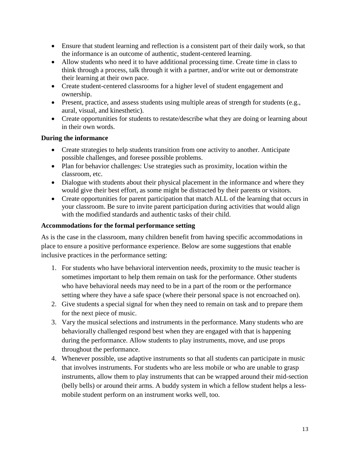- Ensure that student learning and reflection is a consistent part of their daily work, so that the informance is an outcome of authentic, student-centered learning.
- Allow students who need it to have additional processing time. Create time in class to think through a process, talk through it with a partner, and/or write out or demonstrate their learning at their own pace.
- Create student-centered classrooms for a higher level of student engagement and ownership.
- Present, practice, and assess students using multiple areas of strength for students (e.g., aural, visual, and kinesthetic).
- Create opportunities for students to restate/describe what they are doing or learning about in their own words.

### **During the informance**

- Create strategies to help students transition from one activity to another. Anticipate possible challenges, and foresee possible problems.
- Plan for behavior challenges: Use strategies such as proximity, location within the classroom, etc.
- Dialogue with students about their physical placement in the informance and where they would give their best effort, as some might be distracted by their parents or visitors.
- Create opportunities for parent participation that match ALL of the learning that occurs in your classroom. Be sure to invite parent participation during activities that would align with the modified standards and authentic tasks of their child.

### **Accommodations for the formal performance setting**

As is the case in the classroom, many children benefit from having specific accommodations in place to ensure a positive performance experience. Below are some suggestions that enable inclusive practices in the performance setting:

- 1. For students who have behavioral intervention needs, proximity to the music teacher is sometimes important to help them remain on task for the performance. Other students who have behavioral needs may need to be in a part of the room or the performance setting where they have a safe space (where their personal space is not encroached on).
- 2. Give students a special signal for when they need to remain on task and to prepare them for the next piece of music.
- 3. Vary the musical selections and instruments in the performance. Many students who are behaviorally challenged respond best when they are engaged with that is happening during the performance. Allow students to play instruments, move, and use props throughout the performance.
- 4. Whenever possible, use adaptive instruments so that all students can participate in music that involves instruments. For students who are less mobile or who are unable to grasp instruments, allow them to play instruments that can be wrapped around their mid-section (belly bells) or around their arms. A buddy system in which a fellow student helps a lessmobile student perform on an instrument works well, too.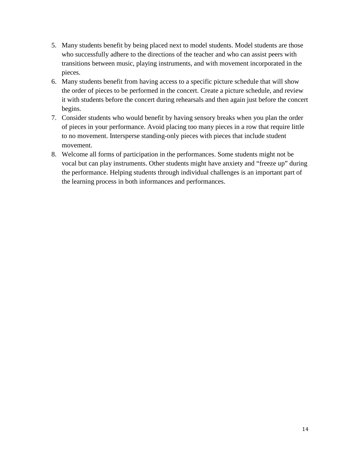- 5. Many students benefit by being placed next to model students. Model students are those who successfully adhere to the directions of the teacher and who can assist peers with transitions between music, playing instruments, and with movement incorporated in the pieces.
- 6. Many students benefit from having access to a specific picture schedule that will show the order of pieces to be performed in the concert. Create a picture schedule, and review it with students before the concert during rehearsals and then again just before the concert begins.
- 7. Consider students who would benefit by having sensory breaks when you plan the order of pieces in your performance. Avoid placing too many pieces in a row that require little to no movement. Intersperse standing-only pieces with pieces that include student movement.
- 8. Welcome all forms of participation in the performances. Some students might not be vocal but can play instruments. Other students might have anxiety and "freeze up" during the performance. Helping students through individual challenges is an important part of the learning process in both informances and performances.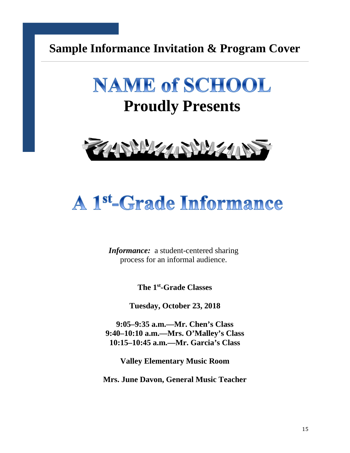### **Sample Informance Invitation & Program Cover**



## **Proudly Presents**



## A 1st-Grade Informance

*Informance:* a student-centered sharing process for an informal audience.

**The 1st-Grade Classes**

**Tuesday, October 23, 2018**

**9:05–9:35 a.m.—Mr. Chen's Class 9:40–10:10 a.m.—Mrs. O'Malley's Class 10:15–10:45 a.m.—Mr. Garcia's Class**

**Valley Elementary Music Room**

**Mrs. June Davon, General Music Teacher**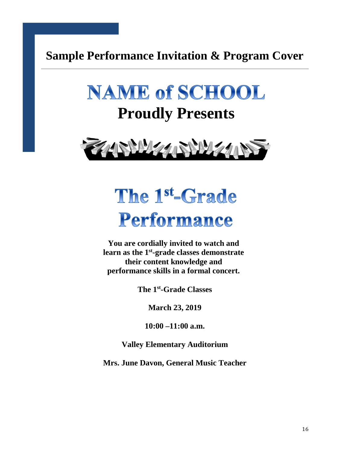**Sample Performance Invitation & Program Cover**





## The 1st-Grade Performance

**You are cordially invited to watch and learn as the 1st-grade classes demonstrate their content knowledge and performance skills in a formal concert.** 

**The 1st-Grade Classes**

**March 23, 2019**

**10:00 –11:00 a.m.**

**Valley Elementary Auditorium**

**Mrs. June Davon, General Music Teacher**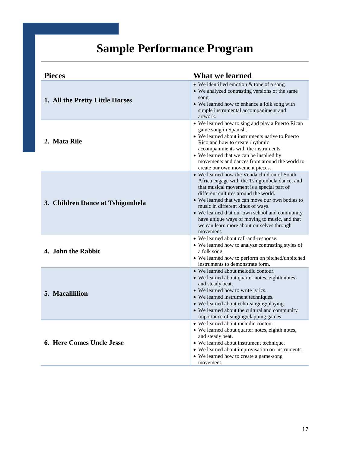## **Sample Performance Program**

| <b>Pieces</b>                    | <b>What we learned</b>                                                                                                                                                                                                                                                                                                                                                                                                                   |
|----------------------------------|------------------------------------------------------------------------------------------------------------------------------------------------------------------------------------------------------------------------------------------------------------------------------------------------------------------------------------------------------------------------------------------------------------------------------------------|
| 1. All the Pretty Little Horses  | $\bullet$ We identified emotion & tone of a song.<br>• We analyzed contrasting versions of the same<br>song.<br>• We learned how to enhance a folk song with<br>simple instrumental accompaniment and<br>artwork.                                                                                                                                                                                                                        |
| 2. Mata Rile                     | • We learned how to sing and play a Puerto Rican<br>game song in Spanish.<br>• We learned about instruments native to Puerto<br>Rico and how to create rhythmic<br>accompaniments with the instruments.<br>• We learned that we can be inspired by<br>movements and dances from around the world to<br>create our own movement pieces.                                                                                                   |
| 3. Children Dance at Tshigombela | • We learned how the Venda children of South<br>Africa engage with the Tshigombela dance, and<br>that musical movement is a special part of<br>different cultures around the world.<br>• We learned that we can move our own bodies to<br>music in different kinds of ways.<br>• We learned that our own school and community<br>have unique ways of moving to music, and that<br>we can learn more about ourselves through<br>movement. |
| 4. John the Rabbit               | • We learned about call-and-response.<br>• We learned how to analyze contrasting styles of<br>a folk song.<br>• We learned how to perform on pitched/unpitched<br>instruments to demonstrate form.                                                                                                                                                                                                                                       |
| 5. Macalililion                  | • We learned about melodic contour.<br>• We learned about quarter notes, eighth notes,<br>and steady beat.<br>• We learned how to write lyrics.<br>• We learned instrument techniques.<br>• We learned about echo-singing/playing.<br>• We learned about the cultural and community<br>importance of singing/clapping games.                                                                                                             |
| <b>6. Here Comes Uncle Jesse</b> | • We learned about melodic contour.<br>• We learned about quarter notes, eighth notes,<br>and steady beat.<br>• We learned about instrument technique.<br>• We learned about improvisation on instruments.<br>• We learned how to create a game-song<br>movement.                                                                                                                                                                        |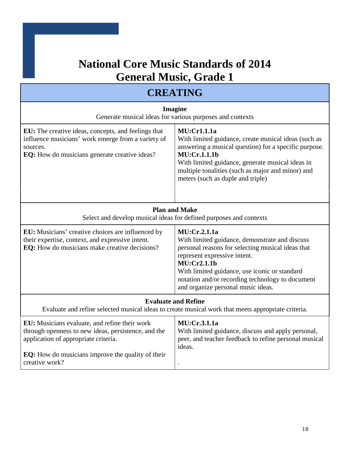### **National Core Music Standards of 2014 General Music, Grade 1**

### **CREATING**

| <b>Imagine</b><br>Generate musical ideas for various purposes and contexts                                                                                                                                                 |                                                                                                                                                                                                                                                                                                                      |
|----------------------------------------------------------------------------------------------------------------------------------------------------------------------------------------------------------------------------|----------------------------------------------------------------------------------------------------------------------------------------------------------------------------------------------------------------------------------------------------------------------------------------------------------------------|
| EU: The creative ideas, concepts, and feelings that<br>influence musicians' work emerge from a variety of<br>sources.<br><b>EQ:</b> How do musicians generate creative ideas?                                              | <b>MU:Cr1.1.1a</b><br>With limited guidance, create musical ideas (such as<br>answering a musical question) for a specific purpose.<br>MU:Cr.1.1.1b<br>With limited guidance, generate musical ideas in<br>multiple tonalities (such as major and minor) and<br>meters (such as duple and triple)                    |
| <b>Plan and Make</b><br>Select and develop musical ideas for defined purposes and contexts                                                                                                                                 |                                                                                                                                                                                                                                                                                                                      |
| EU: Musicians' creative choices are influenced by<br>their expertise, context, and expressive intent.<br>EQ: How do musicians make creative decisions?                                                                     | <b>MU:Cr.2.1.1a</b><br>With limited guidance, demonstrate and discuss<br>personal reasons for selecting musical ideas that<br>represent expressive intent.<br>MU:Cr2.1.1b<br>With limited guidance, use iconic or standard<br>notation and/or recording technology to document<br>and organize personal music ideas. |
| <b>Evaluate and Refine</b>                                                                                                                                                                                                 | Evaluate and refine selected musical ideas to create musical work that meets appropriate criteria.                                                                                                                                                                                                                   |
| EU: Musicians evaluate, and refine their work<br>through openness to new ideas, persistence, and the<br>application of appropriate criteria.<br><b>EQ:</b> How do musicians improve the quality of their<br>creative work? | <b>MU:Cr.3.1.1a</b><br>With limited guidance, discuss and apply personal,<br>peer, and teacher feedback to refine personal musical<br>ideas.                                                                                                                                                                         |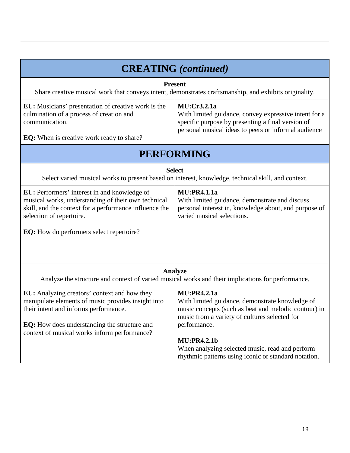| <b>CREATING</b> (continued)                                                                                                                                                                                                                 |                                                                                                                                                                                                                                                                                                                                 |  |
|---------------------------------------------------------------------------------------------------------------------------------------------------------------------------------------------------------------------------------------------|---------------------------------------------------------------------------------------------------------------------------------------------------------------------------------------------------------------------------------------------------------------------------------------------------------------------------------|--|
| <b>Present</b><br>Share creative musical work that conveys intent, demonstrates craftsmanship, and exhibits originality.                                                                                                                    |                                                                                                                                                                                                                                                                                                                                 |  |
| EU: Musicians' presentation of creative work is the<br>culmination of a process of creation and<br>communication.<br>EQ: When is creative work ready to share?                                                                              | MU:Cr3.2.1a<br>With limited guidance, convey expressive intent for a<br>specific purpose by presenting a final version of<br>personal musical ideas to peers or informal audience                                                                                                                                               |  |
|                                                                                                                                                                                                                                             | <b>PERFORMING</b>                                                                                                                                                                                                                                                                                                               |  |
|                                                                                                                                                                                                                                             | <b>Select</b><br>Select varied musical works to present based on interest, knowledge, technical skill, and context.                                                                                                                                                                                                             |  |
| EU: Performers' interest in and knowledge of<br>musical works, understanding of their own technical<br>skill, and the context for a performance influence the<br>selection of repertoire.<br>EQ: How do performers select repertoire?       | <b>MU:PR4.1.1a</b><br>With limited guidance, demonstrate and discuss<br>personal interest in, knowledge about, and purpose of<br>varied musical selections.                                                                                                                                                                     |  |
| Analyze<br>Analyze the structure and context of varied musical works and their implications for performance.                                                                                                                                |                                                                                                                                                                                                                                                                                                                                 |  |
| EU: Analyzing creators' context and how they<br>manipulate elements of music provides insight into<br>their intent and informs performance.<br>EQ: How does understanding the structure and<br>context of musical works inform performance? | <b>MU:PR4.2.1a</b><br>With limited guidance, demonstrate knowledge of<br>music concepts (such as beat and melodic contour) in<br>music from a variety of cultures selected for<br>performance.<br><b>MU:PR4.2.1b</b><br>When analyzing selected music, read and perform<br>rhythmic patterns using iconic or standard notation. |  |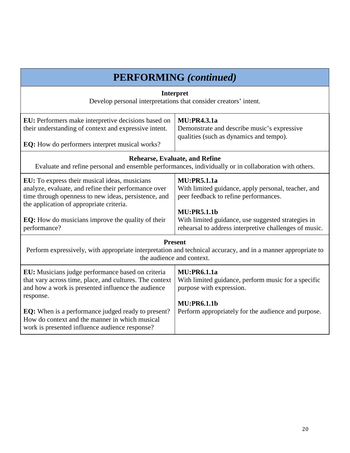| <b>PERFORMING</b> (continued)                                                                                                                                                                                                                                                                                                                    |                                                                                                                                                                                                                                                          |
|--------------------------------------------------------------------------------------------------------------------------------------------------------------------------------------------------------------------------------------------------------------------------------------------------------------------------------------------------|----------------------------------------------------------------------------------------------------------------------------------------------------------------------------------------------------------------------------------------------------------|
| <b>Interpret</b><br>Develop personal interpretations that consider creators' intent.                                                                                                                                                                                                                                                             |                                                                                                                                                                                                                                                          |
| <b>EU:</b> Performers make interpretive decisions based on<br>their understanding of context and expressive intent.<br><b>EQ:</b> How do performers interpret musical works?                                                                                                                                                                     | <b>MU:PR4.3.1a</b><br>Demonstrate and describe music's expressive<br>qualities (such as dynamics and tempo).                                                                                                                                             |
| <b>Rehearse, Evaluate, and Refine</b><br>Evaluate and refine personal and ensemble performances, individually or in collaboration with others.                                                                                                                                                                                                   |                                                                                                                                                                                                                                                          |
| EU: To express their musical ideas, musicians<br>analyze, evaluate, and refine their performance over<br>time through openness to new ideas, persistence, and<br>the application of appropriate criteria.<br><b>EQ:</b> How do musicians improve the quality of their<br>performance?                                                            | <b>MU:PR5.1.1a</b><br>With limited guidance, apply personal, teacher, and<br>peer feedback to refine performances.<br><b>MU:PR5.1.1b</b><br>With limited guidance, use suggested strategies in<br>rehearsal to address interpretive challenges of music. |
| <b>Present</b><br>Perform expressively, with appropriate interpretation and technical accuracy, and in a manner appropriate to<br>the audience and context.                                                                                                                                                                                      |                                                                                                                                                                                                                                                          |
| EU: Musicians judge performance based on criteria<br>that vary across time, place, and cultures. The context<br>and how a work is presented influence the audience<br>response.<br><b>EQ:</b> When is a performance judged ready to present?<br>How do context and the manner in which musical<br>work is presented influence audience response? | <b>MU:PR6.1.1a</b><br>With limited guidance, perform music for a specific<br>purpose with expression.<br><b>MU:PR6.1.1b</b><br>Perform appropriately for the audience and purpose.                                                                       |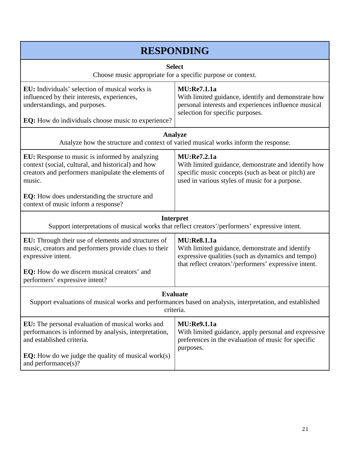| <b>RESPONDING</b>                                                                                                                                                                                                                                                         |                                                                                                                                                                                     |  |
|---------------------------------------------------------------------------------------------------------------------------------------------------------------------------------------------------------------------------------------------------------------------------|-------------------------------------------------------------------------------------------------------------------------------------------------------------------------------------|--|
| <b>Select</b><br>Choose music appropriate for a specific purpose or context.                                                                                                                                                                                              |                                                                                                                                                                                     |  |
| EU: Individuals' selection of musical works is<br>influenced by their interests, experiences,<br>understandings, and purposes.<br><b>EQ:</b> How do individuals choose music to experience?                                                                               | <b>MU:Re7.1.1a</b><br>With limited guidance, identify and demonstrate how<br>personal interests and experiences influence musical<br>selection for specific purposes.               |  |
| <b>Analyze</b><br>Analyze how the structure and context of varied musical works inform the response.                                                                                                                                                                      |                                                                                                                                                                                     |  |
| <b>EU:</b> Response to music is informed by analyzing<br>context (social, cultural, and historical) and how<br>creators and performers manipulate the elements of<br>music.<br><b>EQ:</b> How does understanding the structure and<br>context of music inform a response? | <b>MU:Re7.2.1a</b><br>With limited guidance, demonstrate and identify how<br>specific music concepts (such as beat or pitch) are<br>used in various styles of music for a purpose.  |  |
| <b>Interpret</b><br>Support interpretations of musical works that reflect creators'/performers' expressive intent.                                                                                                                                                        |                                                                                                                                                                                     |  |
| EU: Through their use of elements and structures of<br>music, creators and performers provide clues to their<br>expressive intent.<br>EQ: How do we discern musical creators' and<br>performers' expressive intent?                                                       | <b>MU:Re8.1.1a</b><br>With limited guidance, demonstrate and identify<br>expressive qualities (such as dynamics and tempo)<br>that reflect creators'/performers' expressive intent. |  |
| Evaluate<br>Support evaluations of musical works and performances based on analysis, interpretation, and established<br>criteria.                                                                                                                                         |                                                                                                                                                                                     |  |
| <b>EU:</b> The personal evaluation of musical works and<br>performances is informed by analysis, interpretation,<br>and established criteria.                                                                                                                             | <b>MU:Re9.1.1a</b><br>With limited guidance, apply personal and expressive<br>preferences in the evaluation of music for specific<br>purposes.                                      |  |
| <b>EQ:</b> How do we judge the quality of musical work $(s)$<br>and performance(s)?                                                                                                                                                                                       |                                                                                                                                                                                     |  |